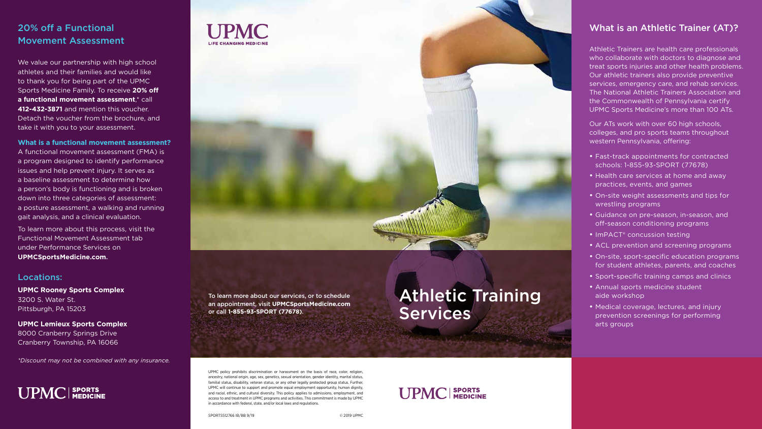# 20% off a Functional Movement Assessment

We value our partnership with high school athletes and their families and would like to thank you for being part of the UPMC Sports Medicine Family. To receive **20% off a functional movement assessment**,\* call **412-432-3871** and mention this voucher. Detach the voucher from the brochure, and take it with you to your assessment.

**What is a functional movement assessment?** A functional movement assessment (FMA) is a program designed to identify performance issues and help prevent injury. It serves as a baseline assessment to determine how a person's body is functioning and is broken down into three categories of assessment: a posture assessment, a walking and running gait analysis, and a clinical evaluation.

To learn more about this process, visit the Functional Movement Assessment tab under Performance Services on **UPMCSportsMedicine.com**.

### Locations:

**UPMC Rooney Sports Complex** 3200 S. Water St. Pittsburgh, PA 15203

**UPMC Lemieux Sports Complex** 8000 Cranberry Springs Drive Cranberry Township, PA 16066

*\*Discount may not be combined with any insurance.*





# What is an Athletic Trainer (AT)?

Athletic Trainers are health care professionals who collaborate with doctors to diagnose and treat sports injuries and other health problems. Our athletic trainers also provide preventive services, emergency care, and rehab services. The National Athletic Trainers Association and the Commonwealth of Pennsylvania certify UPMC Sports Medicine's more than 100 ATs.

Our ATs work with over 60 high schools, colleges, and pro sports teams throughout western Pennsylvania, offering:

- Fast-track appointments for contracted schools: 1-855-93-SPORT (77678)
- Health care services at home and away practices, events, and games
- On-site weight assessments and tips for wrestling programs
- Guidance on pre-season, in-season, and off-season conditioning programs
- ImPACT<sup>®</sup> concussion testing
- ACL prevention and screening programs
- On-site, sport-specific education programs for student athletes, parents, and coaches
- Sport-specific training camps and clinics
- Annual sports medicine student aide workshop
- Medical coverage, lectures, and injury prevention screenings for performing arts groups

SPORTS512766 IB/BB 9/19 © 2019 UPMC



UPMC policy prohibits discrimination or harassment on the basis of race, color, religion, ancestry, national origin, age, sex, genetics, sexual orientation, gender identity, marital status, familial status, disability, veteran status, or any other legally protected group status. Further, UPMC will continue to support and promote equal employment opportunity, human dignity, and racial, ethnic, and cultural diversity. This policy applies to admissions, employment, and access to and treatment in UPMC programs and activities. This commitment is made by UPMC in accordance with federal, state, and/or local laws and regulations.

To learn more about our services, or to schedule an appointment, visit **UPMCSportsMedicine.com** or call **1-855-93-SPORT (77678)**.

# Athletic Training **Services**